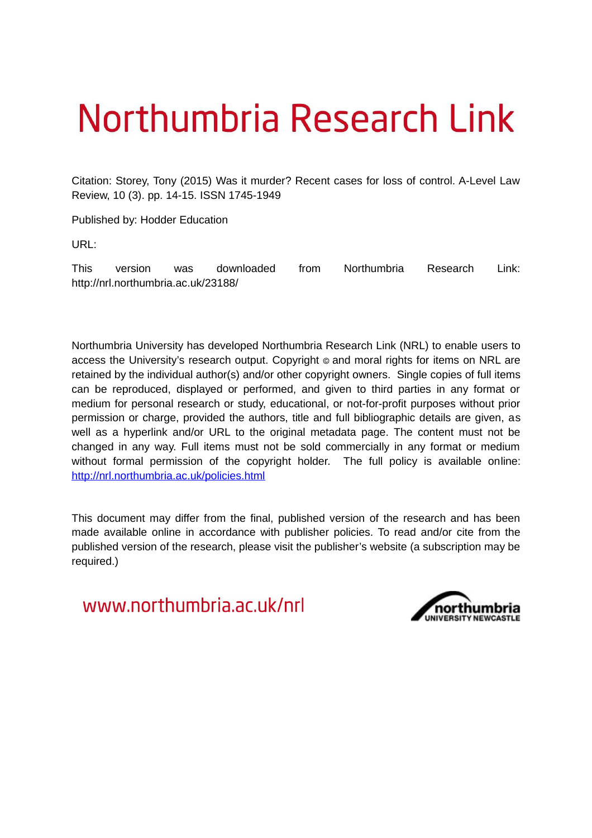# Northumbria Research Link

Citation: Storey, Tony (2015) Was it murder? Recent cases for loss of control. A-Level Law Review, 10 (3). pp. 14-15. ISSN 1745-1949

Published by: Hodder Education

URL:

This version was downloaded from Northumbria Research Link: http://nrl.northumbria.ac.uk/23188/

Northumbria University has developed Northumbria Research Link (NRL) to enable users to access the University's research output. Copyright © and moral rights for items on NRL are retained by the individual author(s) and/or other copyright owners. Single copies of full items can be reproduced, displayed or performed, and given to third parties in any format or medium for personal research or study, educational, or not-for-profit purposes without prior permission or charge, provided the authors, title and full bibliographic details are given, as well as a hyperlink and/or URL to the original metadata page. The content must not be changed in any way. Full items must not be sold commercially in any format or medium without formal permission of the copyright holder. The full policy is available online: <http://nrl.northumbria.ac.uk/policies.html>

This document may differ from the final, published version of the research and has been made available online in accordance with publisher policies. To read and/or cite from the published version of the research, please visit the publisher's website (a subscription may be required.)

www.northumbria.ac.uk/nrl

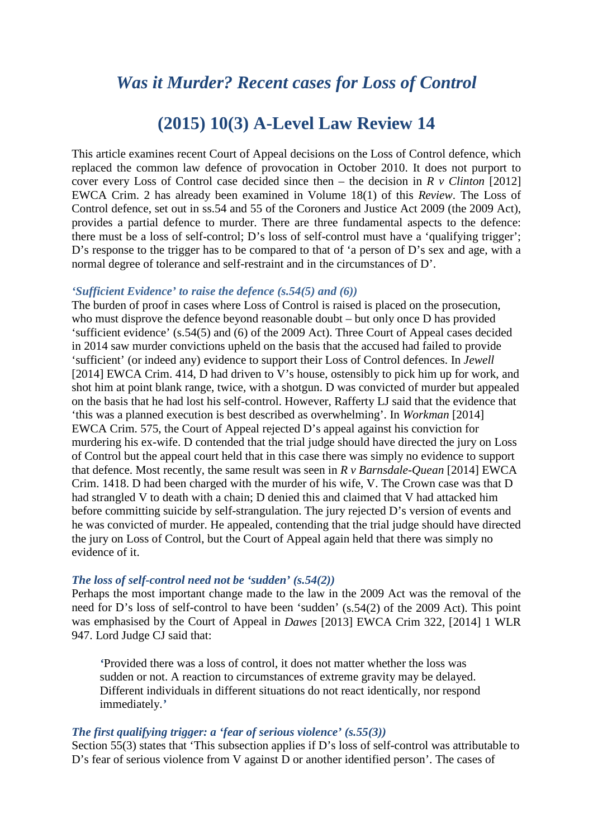# *Was it Murder? Recent cases for Loss of Control*

# **(2015) 10(3) A-Level Law Review 14**

This article examines recent Court of Appeal decisions on the Loss of Control defence, which replaced the common law defence of provocation in October 2010. It does not purport to cover every Loss of Control case decided since then – the decision in *R v Clinton* [2012] EWCA Crim. 2 has already been examined in Volume 18(1) of this *Review*. The Loss of Control defence, set out in ss.54 and 55 of the Coroners and Justice Act 2009 (the 2009 Act), provides a partial defence to murder. There are three fundamental aspects to the defence: there must be a loss of self-control; D's loss of self-control must have a 'qualifying trigger'; D's response to the trigger has to be compared to that of 'a person of D's sex and age, with a normal degree of tolerance and self-restraint and in the circumstances of D'.

## *'Sufficient Evidence' to raise the defence (s.54(5) and (6))*

The burden of proof in cases where Loss of Control is raised is placed on the prosecution, who must disprove the defence beyond reasonable doubt – but only once D has provided 'sufficient evidence' (s.54(5) and (6) of the 2009 Act). Three Court of Appeal cases decided in 2014 saw murder convictions upheld on the basis that the accused had failed to provide 'sufficient' (or indeed any) evidence to support their Loss of Control defences. In *Jewell*  [2014] EWCA Crim. 414, D had driven to V's house, ostensibly to pick him up for work, and shot him at point blank range, twice, with a shotgun. D was convicted of murder but appealed on the basis that he had lost his self-control. However, Rafferty LJ said that the evidence that 'this was a planned execution is best described as overwhelming'. In *Workman* [2014] EWCA Crim. 575, the Court of Appeal rejected D's appeal against his conviction for murdering his ex-wife. D contended that the trial judge should have directed the jury on Loss of Control but the appeal court held that in this case there was simply no evidence to support that defence. Most recently, the same result was seen in *R v Barnsdale-Quean* [2014] EWCA Crim. 1418. D had been charged with the murder of his wife, V. The Crown case was that D had strangled V to death with a chain; D denied this and claimed that V had attacked him before committing suicide by self-strangulation. The jury rejected D's version of events and he was convicted of murder. He appealed, contending that the trial judge should have directed the jury on Loss of Control, but the Court of Appeal again held that there was simply no evidence of it.

#### *The loss of self-control need not be 'sudden' (s.54(2))*

Perhaps the most important change made to the law in the 2009 Act was the removal of the need for D's loss of self-control to have been 'sudden' (s.54(2) of the 2009 Act). This point was emphasised by the Court of Appeal in *Dawes* [2013] EWCA Crim 322, [2014] 1 WLR 947. Lord Judge CJ said that:

*'*Provided there was a loss of control, it does not matter whether the loss was sudden or not. A reaction to circumstances of extreme gravity may be delayed. Different individuals in different situations do not react identically, nor respond immediately.*'* 

#### *The first qualifying trigger: a 'fear of serious violence' (s.55(3))*

Section 55(3) states that 'This subsection applies if D's loss of self-control was attributable to D's fear of serious violence from V against D or another identified person'. The cases of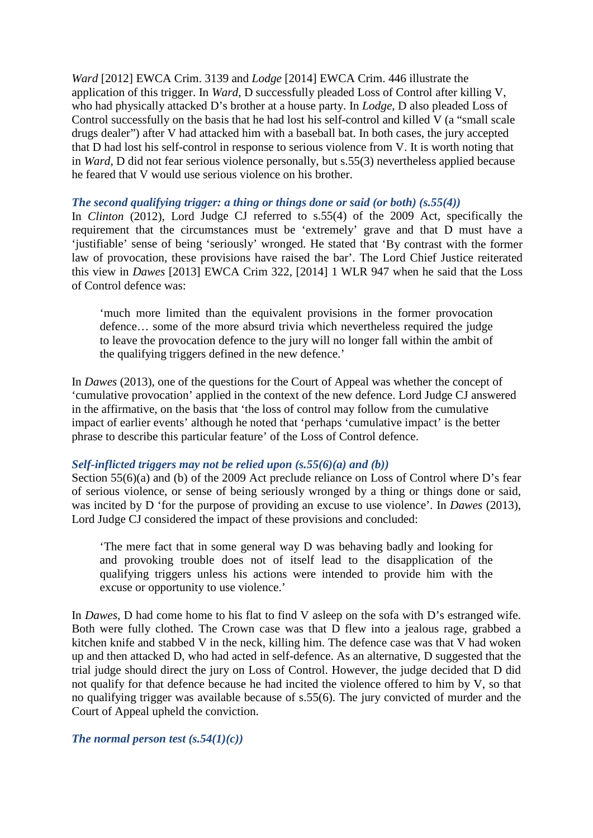*Ward* [2012] EWCA Crim. 3139 and *Lodge* [2014] EWCA Crim. 446 illustrate the application of this trigger. In *Ward*, D successfully pleaded Loss of Control after killing V, who had physically attacked D's brother at a house party. In *Lodge*, D also pleaded Loss of Control successfully on the basis that he had lost his self-control and killed V (a "small scale drugs dealer") after V had attacked him with a baseball bat. In both cases, the jury accepted that D had lost his self-control in response to serious violence from V. It is worth noting that in *Ward*, D did not fear serious violence personally, but s.55(3) nevertheless applied because he feared that V would use serious violence on his brother.

### *The second qualifying trigger: a thing or things done or said (or both) (s.55(4))*

In *Clinton* (2012), Lord Judge CJ referred to s.55(4) of the 2009 Act, specifically the requirement that the circumstances must be 'extremely' grave and that D must have a 'justifiable' sense of being 'seriously' wronged. He stated that 'By contrast with the former law of provocation, these provisions have raised the bar'. The Lord Chief Justice reiterated this view in *Dawes* [2013] EWCA Crim 322, [2014] 1 WLR 947 when he said that the Loss of Control defence was:

'much more limited than the equivalent provisions in the former provocation defence… some of the more absurd trivia which nevertheless required the judge to leave the provocation defence to the jury will no longer fall within the ambit of the qualifying triggers defined in the new defence.'

In *Dawes* (2013), one of the questions for the Court of Appeal was whether the concept of 'cumulative provocation' applied in the context of the new defence. Lord Judge CJ answered in the affirmative, on the basis that 'the loss of control may follow from the cumulative impact of earlier events' although he noted that 'perhaps 'cumulative impact' is the better phrase to describe this particular feature' of the Loss of Control defence.

## *Self-inflicted triggers may not be relied upon (s.55(6)(a) and (b))*

Section 55(6)(a) and (b) of the 2009 Act preclude reliance on Loss of Control where D's fear of serious violence, or sense of being seriously wronged by a thing or things done or said, was incited by D 'for the purpose of providing an excuse to use violence'. In *Dawes* (2013), Lord Judge CJ considered the impact of these provisions and concluded:

'The mere fact that in some general way D was behaving badly and looking for and provoking trouble does not of itself lead to the disapplication of the qualifying triggers unless his actions were intended to provide him with the excuse or opportunity to use violence.'

In *Dawes*, D had come home to his flat to find V asleep on the sofa with D's estranged wife. Both were fully clothed. The Crown case was that D flew into a jealous rage, grabbed a kitchen knife and stabbed V in the neck, killing him. The defence case was that V had woken up and then attacked D, who had acted in self-defence. As an alternative, D suggested that the trial judge should direct the jury on Loss of Control. However, the judge decided that D did not qualify for that defence because he had incited the violence offered to him by V, so that no qualifying trigger was available because of s.55(6). The jury convicted of murder and the Court of Appeal upheld the conviction.

*The normal person test (s.54(1)(c))*